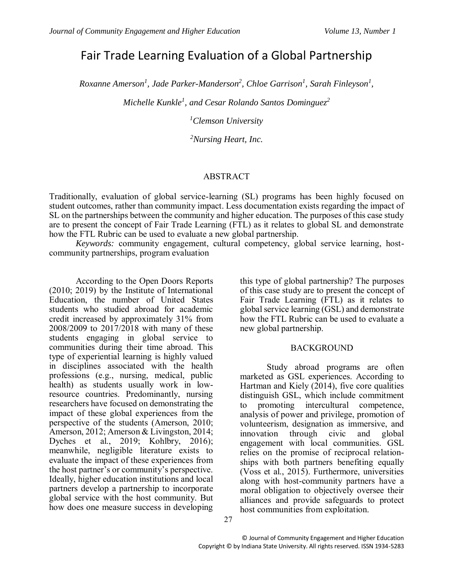# Fair Trade Learning Evaluation of a Global Partnership

*Roxanne Amerson<sup>1</sup> , Jade Parker-Manderson<sup>2</sup> , Chloe Garrison<sup>1</sup> , Sarah Finleyson<sup>1</sup> ,* 

*Michelle Kunkle<sup>1</sup> , and Cesar Rolando Santos Dominguez<sup>2</sup>*

*<sup>1</sup>Clemson University*

*<sup>2</sup>Nursing Heart, Inc.*

### ABSTRACT

Traditionally, evaluation of global service-learning (SL) programs has been highly focused on student outcomes, rather than community impact. Less documentation exists regarding the impact of SL on the partnerships between the community and higher education. The purposes of this case study are to present the concept of Fair Trade Learning (FTL) as it relates to global SL and demonstrate how the FTL Rubric can be used to evaluate a new global partnership.

*Keywords:* community engagement, cultural competency, global service learning, hostcommunity partnerships, program evaluation

According to the Open Doors Reports (2010; 2019) by the Institute of International Education, the number of United States students who studied abroad for academic credit increased by approximately 31% from 2008/2009 to 2017/2018 with many of these students engaging in global service to communities during their time abroad. This type of experiential learning is highly valued in disciplines associated with the health professions (e.g., nursing, medical, public health) as students usually work in lowresource countries. Predominantly, nursing researchers have focused on demonstrating the impact of these global experiences from the perspective of the students (Amerson, 2010; Amerson, 2012; Amerson & Livingston, 2014; Dyches et al., 2019; Kohlbry, 2016); meanwhile, negligible literature exists to evaluate the impact of these experiences from the host partner's or community's perspective. Ideally, higher education institutions and local partners develop a partnership to incorporate global service with the host community. But how does one measure success in developing

this type of global partnership? The purposes of this case study are to present the concept of Fair Trade Learning (FTL) as it relates to global service learning (GSL) and demonstrate how the FTL Rubric can be used to evaluate a new global partnership.

# BACKGROUND

Study abroad programs are often marketed as GSL experiences. According to Hartman and Kiely (2014), five core qualities distinguish GSL, which include commitment to promoting intercultural competence, analysis of power and privilege, promotion of volunteerism, designation as immersive, and innovation through civic and global engagement with local communities. GSL relies on the promise of reciprocal relationships with both partners benefiting equally (Voss et al., 2015). Furthermore, universities along with host-community partners have a moral obligation to objectively oversee their alliances and provide safeguards to protect host communities from exploitation.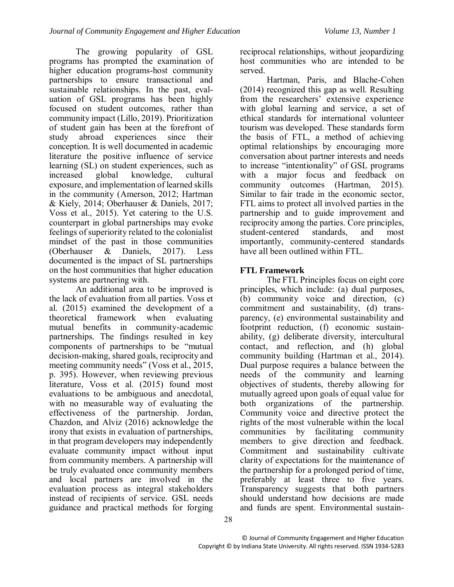The growing popularity of GSL programs has prompted the examination of higher education programs-host community partnerships to ensure transactional and sustainable relationships. In the past, evaluation of GSL programs has been highly focused on student outcomes, rather than community impact (Lillo, 2019). Prioritization of student gain has been at the forefront of study abroad experiences since their conception. It is well documented in academic literature the positive influence of service learning (SL) on student experiences, such as increased global knowledge, cultural exposure, and implementation of learned skills in the community (Amerson, 2012; Hartman & Kiely, 2014; Oberhauser & Daniels, 2017; Voss et al., 2015). Yet catering to the U.S. counterpart in global partnerships may evoke feelings of superiority related to the colonialist mindset of the past in those communities (Oberhauser & Daniels, 2017). Less documented is the impact of SL partnerships on the host communities that higher education systems are partnering with.

An additional area to be improved is the lack of evaluation from all parties. Voss et al. (2015) examined the development of a theoretical framework when evaluating mutual benefits in community-academic partnerships. The findings resulted in key components of partnerships to be "mutual decision-making, shared goals, reciprocity and meeting community needs" (Voss et al., 2015, p. 395). However, when reviewing previous literature, Voss et al. (2015) found most evaluations to be ambiguous and anecdotal, with no measurable way of evaluating the effectiveness of the partnership. Jordan, Chazdon, and Alviz (2016) acknowledge the irony that exists in evaluation of partnerships, in that program developers may independently evaluate community impact without input from community members. A partnership will be truly evaluated once community members and local partners are involved in the evaluation process as integral stakeholders instead of recipients of service. GSL needs guidance and practical methods for forging reciprocal relationships, without jeopardizing host communities who are intended to be served.

Hartman, Paris, and Blache-Cohen (2014) recognized this gap as well. Resulting from the researchers' extensive experience with global learning and service, a set of ethical standards for international volunteer tourism was developed. These standards form the basis of FTL, a method of achieving optimal relationships by encouraging more conversation about partner interests and needs to increase "intentionality" of GSL programs with a major focus and feedback on community outcomes (Hartman, 2015). Similar to fair trade in the economic sector, FTL aims to protect all involved parties in the partnership and to guide improvement and reciprocity among the parties. Core principles,<br>student-centered standards, and most student-centered standards, and most importantly, community-centered standards have all been outlined within FTL.

# **FTL Framework**

The FTL Principles focus on eight core principles, which include: (a) dual purposes, (b) community voice and direction, (c) commitment and sustainability, (d) transparency, (e) environmental sustainability and footprint reduction, (f) economic sustainability, (g) deliberate diversity, intercultural contact, and reflection, and (h) global community building (Hartman et al., 2014). Dual purpose requires a balance between the needs of the community and learning objectives of students, thereby allowing for mutually agreed upon goals of equal value for both organizations of the partnership. Community voice and directive protect the rights of the most vulnerable within the local communities by facilitating community members to give direction and feedback. Commitment and sustainability cultivate clarity of expectations for the maintenance of the partnership for a prolonged period of time, preferably at least three to five years. Transparency suggests that both partners should understand how decisions are made and funds are spent. Environmental sustain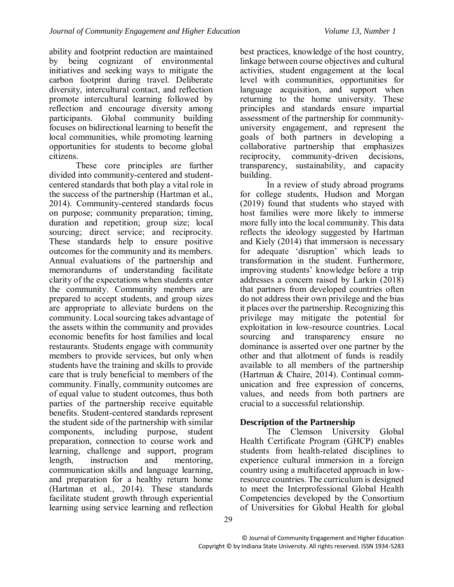ability and footprint reduction are maintained by being cognizant of environmental initiatives and seeking ways to mitigate the carbon footprint during travel. Deliberate diversity, intercultural contact, and reflection promote intercultural learning followed by reflection and encourage diversity among participants. Global community building focuses on bidirectional learning to benefit the local communities, while promoting learning opportunities for students to become global citizens.

These core principles are further divided into community-centered and studentcentered standards that both play a vital role in the success of the partnership (Hartman et al., 2014). Community-centered standards focus on purpose; community preparation; timing, duration and repetition; group size; local sourcing; direct service; and reciprocity. These standards help to ensure positive outcomes for the community and its members. Annual evaluations of the partnership and memorandums of understanding facilitate clarity of the expectations when students enter the community. Community members are prepared to accept students, and group sizes are appropriate to alleviate burdens on the community. Local sourcing takes advantage of the assets within the community and provides economic benefits for host families and local restaurants. Students engage with community members to provide services, but only when students have the training and skills to provide care that is truly beneficial to members of the community. Finally, community outcomes are of equal value to student outcomes, thus both parties of the partnership receive equitable benefits. Student-centered standards represent the student side of the partnership with similar components, including purpose, student preparation, connection to course work and learning, challenge and support, program length, instruction and mentoring, communication skills and language learning, and preparation for a healthy return home (Hartman et al., 2014). These standards facilitate student growth through experiential learning using service learning and reflection

best practices, knowledge of the host country, linkage between course objectives and cultural activities, student engagement at the local level with communities, opportunities for language acquisition, and support when returning to the home university. These principles and standards ensure impartial assessment of the partnership for communityuniversity engagement, and represent the goals of both partners in developing a collaborative partnership that emphasizes reciprocity, community-driven decisions, transparency, sustainability, and capacity building.

In a review of study abroad programs for college students, Hudson and Morgan (2019) found that students who stayed with host families were more likely to immerse more fully into the local community. This data reflects the ideology suggested by Hartman and Kiely (2014) that immersion is necessary for adequate 'disruption' which leads to transformation in the student. Furthermore, improving students' knowledge before a trip addresses a concern raised by Larkin (2018) that partners from developed countries often do not address their own privilege and the bias it places over the partnership. Recognizing this privilege may mitigate the potential for exploitation in low-resource countries. Local sourcing and transparency ensure no dominance is asserted over one partner by the other and that allotment of funds is readily available to all members of the partnership (Hartman & Chaire, 2014). Continual communication and free expression of concerns, values, and needs from both partners are crucial to a successful relationship.

# **Description of the Partnership**

The Clemson University Global Health Certificate Program (GHCP) enables students from health-related disciplines to experience cultural immersion in a foreign country using a multifaceted approach in lowresource countries. The curriculum is designed to meet the Interprofessional Global Health Competencies developed by the Consortium of Universities for Global Health for global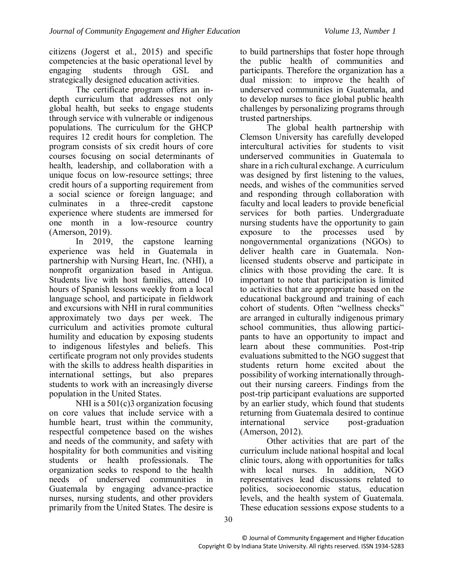citizens (Jogerst et al., 2015) and specific competencies at the basic operational level by engaging students through GSL and strategically designed education activities.

The certificate program offers an indepth curriculum that addresses not only global health, but seeks to engage students through service with vulnerable or indigenous populations. The curriculum for the GHCP requires 12 credit hours for completion. The program consists of six credit hours of core courses focusing on social determinants of health, leadership, and collaboration with a unique focus on low-resource settings; three credit hours of a supporting requirement from a social science or foreign language; and culminates in a three-credit capstone experience where students are immersed for one month in a low-resource country (Amerson, 2019).

In 2019, the capstone learning experience was held in Guatemala in partnership with Nursing Heart, Inc. (NHI), a nonprofit organization based in Antigua. Students live with host families, attend 10 hours of Spanish lessons weekly from a local language school, and participate in fieldwork and excursions with NHI in rural communities approximately two days per week. The curriculum and activities promote cultural humility and education by exposing students to indigenous lifestyles and beliefs. This certificate program not only provides students with the skills to address health disparities in international settings, but also prepares students to work with an increasingly diverse population in the United States.

NHI is a 501(c)3 organization focusing on core values that include service with a humble heart, trust within the community, respectful competence based on the wishes and needs of the community, and safety with hospitality for both communities and visiting students or health professionals. The organization seeks to respond to the health needs of underserved communities in Guatemala by engaging advance-practice nurses, nursing students, and other providers primarily from the United States. The desire is to build partnerships that foster hope through the public health of communities and participants. Therefore the organization has a dual mission: to improve the health of underserved communities in Guatemala, and to develop nurses to face global public health challenges by personalizing programs through trusted partnerships.

The global health partnership with Clemson University has carefully developed intercultural activities for students to visit underserved communities in Guatemala to share in a rich cultural exchange. A curriculum was designed by first listening to the values, needs, and wishes of the communities served and responding through collaboration with faculty and local leaders to provide beneficial services for both parties. Undergraduate nursing students have the opportunity to gain exposure to the processes used by nongovernmental organizations (NGOs) to deliver health care in Guatemala. Nonlicensed students observe and participate in clinics with those providing the care. It is important to note that participation is limited to activities that are appropriate based on the educational background and training of each cohort of students. Often "wellness checks" are arranged in culturally indigenous primary school communities, thus allowing participants to have an opportunity to impact and learn about these communities. Post-trip evaluations submitted to the NGO suggest that students return home excited about the possibility of working internationally throughout their nursing careers. Findings from the post-trip participant evaluations are supported by an earlier study, which found that students returning from Guatemala desired to continue international service post-graduation (Amerson, 2012).

Other activities that are part of the curriculum include national hospital and local clinic tours, along with opportunities for talks with local nurses. In addition, NGO representatives lead discussions related to politics, socioeconomic status, education levels, and the health system of Guatemala. These education sessions expose students to a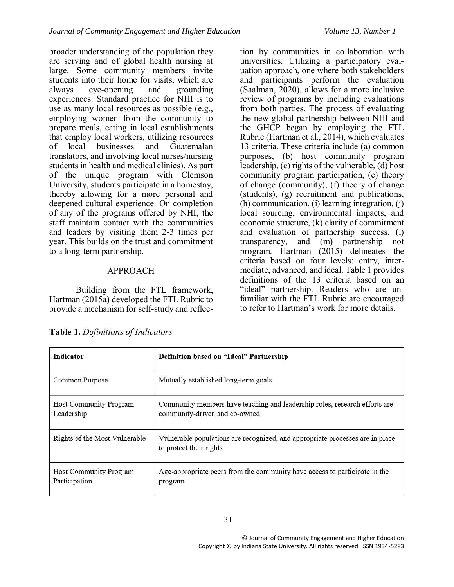broader understanding of the population they are serving and of global health nursing at large. Some community members invite students into their home for visits, which are always eye-opening and grounding experiences. Standard practice for NHI is to use as many local resources as possible (e.g., employing women from the community to prepare meals, eating in local establishments that employ local workers, utilizing resources of local businesses and Guatemalan translators, and involving local nurses/nursing students in health and medical clinics). As part of the unique program with Clemson University, students participate in a homestay, thereby allowing for a more personal and deepened cultural experience. On completion of any of the programs offered by NHI, the staff maintain contact with the communities and leaders by visiting them 2-3 times per year. This builds on the trust and commitment to a long-term partnership.

# APPROACH

Building from the FTL framework, Hartman (2015a) developed the FTL Rubric to provide a mechanism for self-study and reflec-

tion by communities in collaboration with universities. Utilizing a participatory evaluation approach, one where both stakeholders and participants perform the evaluation (Saalman, 2020), allows for a more inclusive review of programs by including evaluations from both parties. The process of evaluating the new global partnership between NHI and the GHCP began by employing the FTL Rubric (Hartman et al., 2014), which evaluates 13 criteria. These criteria include (a) common purposes, (b) host community program leadership, (c) rights of the vulnerable, (d) host community program participation, (e) theory of change (community), (f) theory of change (students), (g) recruitment and publications, (h) communication, (i) learning integration, (j) local sourcing, environmental impacts, and economic structure, (k) clarity of commitment and evaluation of partnership success, (l) transparency, and (m) partnership not program. Hartman (2015) delineates the criteria based on four levels: entry, intermediate, advanced, and ideal. Table 1 provides definitions of the 13 criteria based on an "ideal" partnership. Readers who are unfamiliar with the FTL Rubric are encouraged to refer to Hartman's work for more details.

| Indicator                                      | Definition based on "Ideal" Partnership                                                                     |
|------------------------------------------------|-------------------------------------------------------------------------------------------------------------|
| Common Purpose                                 | Mutually established long-term goals                                                                        |
| <b>Host Community Program</b><br>Leadership    | Community members have teaching and leadership roles, research efforts are<br>community-driven and co-owned |
| Rights of the Most Vulnerable                  | Vulnerable populations are recognized, and appropriate processes are in place<br>to protect their rights    |
| <b>Host Community Program</b><br>Participation | Age-appropriate peers from the community have access to participate in the<br>program                       |

Table 1. Definitions of Indicators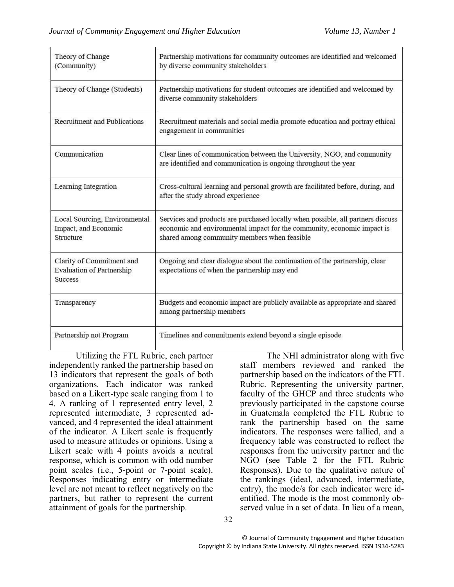| Theory of Change<br>(Community)                                                 | Partnership motivations for community outcomes are identified and welcomed<br>by diverse community stakeholders<br>Partnership motivations for student outcomes are identified and welcomed by<br>diverse community stakeholders |  |
|---------------------------------------------------------------------------------|----------------------------------------------------------------------------------------------------------------------------------------------------------------------------------------------------------------------------------|--|
| Theory of Change (Students)                                                     |                                                                                                                                                                                                                                  |  |
| Recruitment and Publications                                                    | Recruitment materials and social media promote education and portray ethical<br>engagement in communities                                                                                                                        |  |
| Communication                                                                   | Clear lines of communication between the University, NGO, and community<br>are identified and communication is ongoing throughout the year                                                                                       |  |
| Learning Integration                                                            | Cross-cultural learning and personal growth are facilitated before, during, and<br>after the study abroad experience                                                                                                             |  |
| Local Sourcing, Environmental<br>Impact, and Economic<br>Structure              | Services and products are purchased locally when possible, all partners discuss<br>economic and environmental impact for the community, economic impact is<br>shared among community members when feasible                       |  |
| Clarity of Commitment and<br><b>Evaluation of Partnership</b><br><b>Success</b> | Ongoing and clear dialogue about the continuation of the partnership, clear<br>expectations of when the partnership may end                                                                                                      |  |
| Transparency                                                                    | Budgets and economic impact are publicly available as appropriate and shared<br>among partnership members                                                                                                                        |  |
| Partnership not Program                                                         | Timelines and commitments extend beyond a single episode                                                                                                                                                                         |  |

Utilizing the FTL Rubric, each partner independently ranked the partnership based on 13 indicators that represent the goals of both organizations. Each indicator was ranked based on a Likert-type scale ranging from 1 to 4. A ranking of 1 represented entry level, 2 represented intermediate, 3 represented advanced, and 4 represented the ideal attainment of the indicator. A Likert scale is frequently used to measure attitudes or opinions. Using a Likert scale with 4 points avoids a neutral response, which is common with odd number point scales (i.e., 5-point or 7-point scale). Responses indicating entry or intermediate level are not meant to reflect negatively on the partners, but rather to represent the current attainment of goals for the partnership.

The NHI administrator along with five staff members reviewed and ranked the partnership based on the indicators of the FTL Rubric. Representing the university partner, faculty of the GHCP and three students who previously participated in the capstone course in Guatemala completed the FTL Rubric to rank the partnership based on the same indicators. The responses were tallied, and a frequency table was constructed to reflect the responses from the university partner and the NGO (see Table 2 for the FTL Rubric Responses). Due to the qualitative nature of the rankings (ideal, advanced, intermediate, entry), the mode/s for each indicator were identified. The mode is the most commonly observed value in a set of data. In lieu of a mean,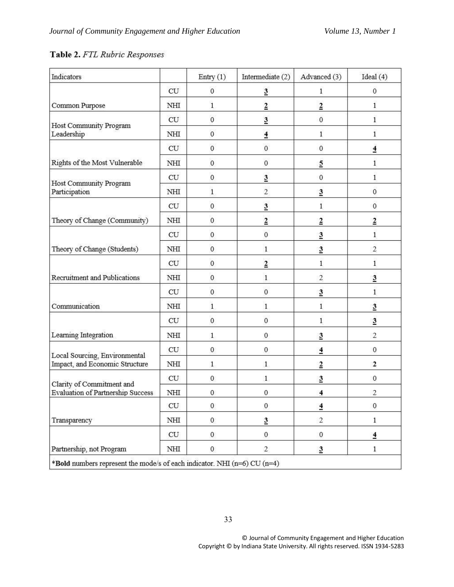# Table 2. FTL Rubric Responses

| Indicators                                                            |     | Entry $(1)$      | Intermediate (2)         | Advanced (3)     | Ideal $(4)$     |
|-----------------------------------------------------------------------|-----|------------------|--------------------------|------------------|-----------------|
|                                                                       | CU  | $\bf{0}$         | $\overline{3}$           | 1                | $\mathbf{0}$    |
| Common Purpose                                                        | NHI | $\mathbf{1}$     | $\overline{2}$           | $\overline{2}$   | 1               |
| Host Community Program<br>Leadership                                  | CU  | $\mathbf{0}$     | $\overline{3}$           | $\mathbf 0$      | 1               |
|                                                                       | NHI | $\mathbf{0}$     | $\overline{4}$           | 1                | 1               |
|                                                                       | CU  | $\mathbf 0$      | $\boldsymbol{0}$         | $\boldsymbol{0}$ | $\overline{4}$  |
| Rights of the Most Vulnerable                                         | NHI | $\mathbf{0}$     | $\boldsymbol{0}$         | $\overline{2}$   | $\mathbf{1}$    |
| Host Community Program<br>Participation                               | CU  | $\mathbf 0$      | $\overline{3}$           | 0                | $\mathbf{1}$    |
|                                                                       | NHI | $\mathbf{1}$     | $\overline{2}$           | $\overline{3}$   | $\bf{0}$        |
|                                                                       | CU  | $\mathbf{0}$     | $\overline{3}$           | $\mathbf{1}$     | 0               |
| Theory of Change (Community)                                          | NHI | $\mathbf{0}$     | $\underline{\mathbf{2}}$ | $\overline{2}$   | $\overline{2}$  |
|                                                                       | CU  | $\mathbf{0}$     | $\mathbf{0}$             | $\overline{3}$   | $\mathbf{1}$    |
| Theory of Change (Students)                                           | NHI | $\mathbf 0$      | $\mathbf{1}$             | $\overline{3}$   | $\overline{c}$  |
|                                                                       | CU  | $\mathbf{0}$     | $\overline{2}$           | $\,1$            | 1               |
| Recruitment and Publications                                          | NHI | $\mathbf 0$      | $\mathbf{1}$             | $\overline{c}$   | 3               |
|                                                                       | CU  | $\mathbf{0}$     | $\boldsymbol{0}$         | $\overline{3}$   | $\mathbf{1}$    |
| Communication                                                         | NHI | $\mathbf{1}$     | $\mathbf{1}$             | $\mathbf{1}$     | $\overline{3}$  |
|                                                                       | CU  | $\mathbf 0$      | $\boldsymbol{0}$         | 1                | $\overline{3}$  |
| Learning Integration                                                  | NHI | $\mathbf{1}$     | $\boldsymbol{0}$         | $\overline{3}$   | $\overline{c}$  |
| Local Sourcing, Environmental<br>Impact, and Economic Structure       | CU  | $\boldsymbol{0}$ | $\boldsymbol{0}$         | $\overline{4}$   | 0               |
|                                                                       | NHI | $\mathbf{1}$     | $\mathbf{1}$             | $\overline{2}$   | 2               |
| Clarity of Commitment and<br><b>Evaluation of Partnership Success</b> | CU  | $\mathbf{0}$     | $\mathbf{1}$             | $\overline{3}$   | 0               |
|                                                                       | NHI | $\boldsymbol{0}$ | $\boldsymbol{0}$         | $\overline{4}$   | 2               |
| Transparency                                                          | CU  | $\mathbf{0}$     | $\boldsymbol{0}$         | $\overline{4}$   | 0               |
|                                                                       | NHI | $\mathbf{0}$     | $\overline{3}$           | 2                | $\mathbf{1}$    |
|                                                                       | CU  | $\overline{0}$   | $\mathbf{0}$             | $\mathbf{0}$     | $\overline{4}$  |
| Partnership, not Program                                              | NHI | $\pmb{0}$        | $\overline{2}$           | $\overline{3}$   | $1\phantom{.0}$ |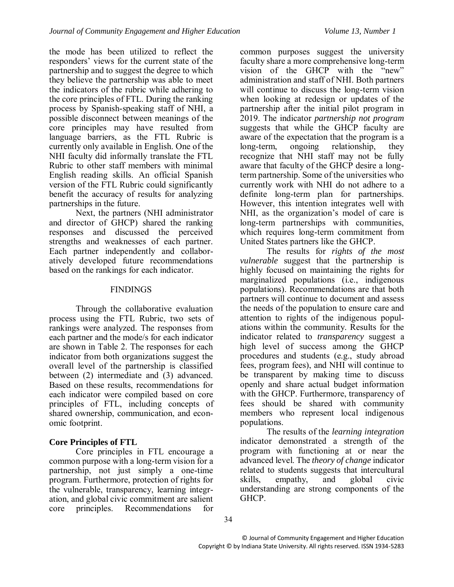the mode has been utilized to reflect the responders' views for the current state of the partnership and to suggest the degree to which they believe the partnership was able to meet the indicators of the rubric while adhering to the core principles of FTL. During the ranking process by Spanish-speaking staff of NHI, a possible disconnect between meanings of the core principles may have resulted from language barriers, as the FTL Rubric is currently only available in English. One of the NHI faculty did informally translate the FTL Rubric to other staff members with minimal English reading skills. An official Spanish version of the FTL Rubric could significantly benefit the accuracy of results for analyzing partnerships in the future.

Next, the partners (NHI administrator and director of GHCP) shared the ranking responses and discussed the perceived strengths and weaknesses of each partner. Each partner independently and collaboratively developed future recommendations based on the rankings for each indicator.

#### **FINDINGS**

Through the collaborative evaluation process using the FTL Rubric, two sets of rankings were analyzed. The responses from each partner and the mode/s for each indicator are shown in Table 2. The responses for each indicator from both organizations suggest the overall level of the partnership is classified between (2) intermediate and (3) advanced. Based on these results, recommendations for each indicator were compiled based on core principles of FTL, including concepts of shared ownership, communication, and economic footprint.

#### **Core Principles of FTL**

Core principles in FTL encourage a common purpose with a long-term vision for a partnership, not just simply a one-time program. Furthermore, protection of rights for the vulnerable, transparency, learning integration, and global civic commitment are salient core principles. Recommendations for

common purposes suggest the university faculty share a more comprehensive long-term vision of the GHCP with the "new" administration and staff of NHI. Both partners will continue to discuss the long-term vision when looking at redesign or updates of the partnership after the initial pilot program in 2019. The indicator *partnership not program* suggests that while the GHCP faculty are aware of the expectation that the program is a long-term, ongoing relationship, they recognize that NHI staff may not be fully aware that faculty of the GHCP desire a longterm partnership. Some of the universities who currently work with NHI do not adhere to a definite long-term plan for partnerships. However, this intention integrates well with NHI, as the organization's model of care is long-term partnerships with communities, which requires long-term commitment from United States partners like the GHCP.

The results for *rights of the most vulnerable* suggest that the partnership is highly focused on maintaining the rights for marginalized populations (i.e., indigenous populations). Recommendations are that both partners will continue to document and assess the needs of the population to ensure care and attention to rights of the indigenous populations within the community. Results for the indicator related to *transparency* suggest a high level of success among the GHCP procedures and students (e.g., study abroad fees, program fees), and NHI will continue to be transparent by making time to discuss openly and share actual budget information with the GHCP. Furthermore, transparency of fees should be shared with community members who represent local indigenous populations.

The results of the *learning integration* indicator demonstrated a strength of the program with functioning at or near the advanced level. The *theory of change* indicator related to students suggests that intercultural skills, empathy, and global civic understanding are strong components of the GHCP.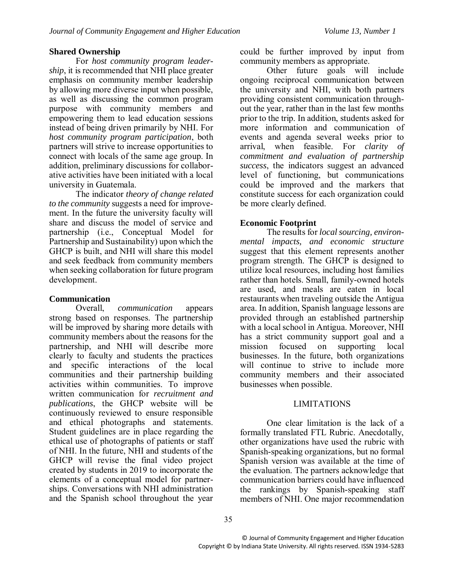#### **Shared Ownership**

For *host community program leadership*, it is recommended that NHI place greater emphasis on community member leadership by allowing more diverse input when possible, as well as discussing the common program purpose with community members and empowering them to lead education sessions instead of being driven primarily by NHI. For *host community program participation*, both partners will strive to increase opportunities to connect with locals of the same age group. In addition, preliminary discussions for collaborative activities have been initiated with a local university in Guatemala.

The indicator *theory of change related to the community* suggests a need for improvement. In the future the university faculty will share and discuss the model of service and partnership (i.e., Conceptual Model for Partnership and Sustainability) upon which the GHCP is built, and NHI will share this model and seek feedback from community members when seeking collaboration for future program development.

#### **Communication**

Overall, *communication* appears strong based on responses. The partnership will be improved by sharing more details with community members about the reasons for the partnership, and NHI will describe more clearly to faculty and students the practices and specific interactions of the local communities and their partnership building activities within communities. To improve written communication for *recruitment and publications*, the GHCP website will be continuously reviewed to ensure responsible and ethical photographs and statements. Student guidelines are in place regarding the ethical use of photographs of patients or staff of NHI. In the future, NHI and students of the GHCP will revise the final video project created by students in 2019 to incorporate the elements of a conceptual model for partnerships. Conversations with NHI administration and the Spanish school throughout the year could be further improved by input from community members as appropriate.

Other future goals will include ongoing reciprocal communication between the university and NHI, with both partners providing consistent communication throughout the year, rather than in the last few months prior to the trip. In addition, students asked for more information and communication of events and agenda several weeks prior to arrival, when feasible. For *clarity of commitment and evaluation of partnership success*, the indicators suggest an advanced level of functioning, but communications could be improved and the markers that constitute success for each organization could be more clearly defined.

# **Economic Footprint**

The results for *local sourcing, environmental impacts, and economic structure* suggest that this element represents another program strength. The GHCP is designed to utilize local resources, including host families rather than hotels. Small, family-owned hotels are used, and meals are eaten in local restaurants when traveling outside the Antigua area. In addition, Spanish language lessons are provided through an established partnership with a local school in Antigua. Moreover, NHI has a strict community support goal and a mission focused on supporting local businesses. In the future, both organizations will continue to strive to include more community members and their associated businesses when possible.

#### LIMITATIONS

One clear limitation is the lack of a formally translated FTL Rubric. Anecdotally, other organizations have used the rubric with Spanish-speaking organizations, but no formal Spanish version was available at the time of the evaluation. The partners acknowledge that communication barriers could have influenced the rankings by Spanish-speaking staff members of NHI. One major recommendation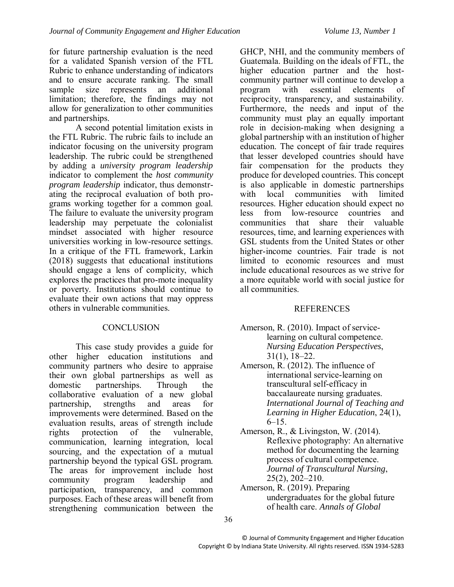for future partnership evaluation is the need for a validated Spanish version of the FTL Rubric to enhance understanding of indicators and to ensure accurate ranking. The small sample size represents an additional limitation; therefore, the findings may not allow for generalization to other communities and partnerships.

A second potential limitation exists in the FTL Rubric. The rubric fails to include an indicator focusing on the university program leadership. The rubric could be strengthened by adding a *university program leadership* indicator to complement the *host community program leadership* indicator, thus demonstrating the reciprocal evaluation of both programs working together for a common goal. The failure to evaluate the university program leadership may perpetuate the colonialist mindset associated with higher resource universities working in low-resource settings. In a critique of the FTL framework, Larkin (2018) suggests that educational institutions should engage a lens of complicity, which explores the practices that pro-mote inequality or poverty. Institutions should continue to evaluate their own actions that may oppress others in vulnerable communities.

# **CONCLUSION**

This case study provides a guide for other higher education institutions and community partners who desire to appraise their own global partnerships as well as domestic partnerships. Through the collaborative evaluation of a new global partnership, strengths and areas for improvements were determined. Based on the evaluation results, areas of strength include rights protection of the vulnerable, communication, learning integration, local sourcing, and the expectation of a mutual partnership beyond the typical GSL program. The areas for improvement include host community program leadership and participation, transparency, and common purposes. Each of these areas will benefit from strengthening communication between the

GHCP, NHI, and the community members of Guatemala. Building on the ideals of FTL, the higher education partner and the hostcommunity partner will continue to develop a program with essential elements of reciprocity, transparency, and sustainability. Furthermore, the needs and input of the community must play an equally important role in decision-making when designing a global partnership with an institution of higher education. The concept of fair trade requires that lesser developed countries should have fair compensation for the products they produce for developed countries. This concept is also applicable in domestic partnerships with local communities with limited resources. Higher education should expect no less from low-resource countries and communities that share their valuable resources, time, and learning experiences with GSL students from the United States or other higher-income countries. Fair trade is not limited to economic resources and must include educational resources as we strive for a more equitable world with social justice for all communities.

# **REFERENCES**

- Amerson, R. (2010). Impact of servicelearning on cultural competence. *Nursing Education Perspectives*, 31(1), 18–22.
- Amerson, R. (2012). The influence of international service-learning on transcultural self-efficacy in baccalaureate nursing graduates. *International Journal of Teaching and Learning in Higher Education*, 24(1),  $6-15.$
- Amerson, R., & Livingston, W. (2014). Reflexive photography: An alternative method for documenting the learning process of cultural competence. *Journal of Transcultural Nursing*, 25(2), 202–210.
- Amerson, R. (2019). Preparing undergraduates for the global future of health care. *Annals of Global*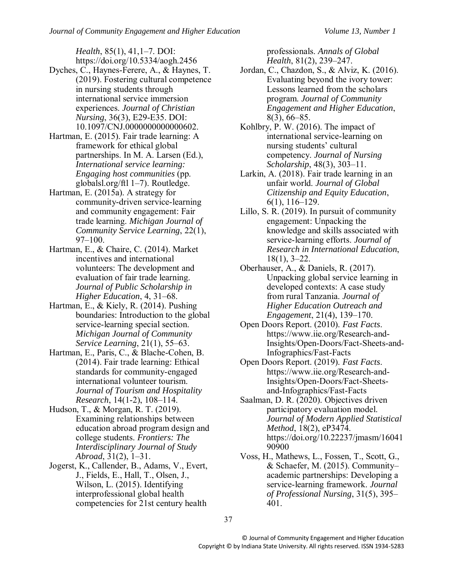*Health*, 85(1), 41,1–7. DOI: https://doi.org/10.5334/aogh.2456

- Dyches, C., Haynes-Ferere, A., & Haynes, T. (2019). Fostering cultural competence in nursing students through international service immersion experiences. *Journal of Christian Nursing*, 36(3), E29-E35. DOI: 10.1097/CNJ.0000000000000602.
- Hartman, E. (2015). Fair trade learning: A framework for ethical global partnerships. In M. A. Larsen (Ed.), *International service learning: Engaging host communities* (pp. globalsl.org/ftl 1–7). Routledge.
- Hartman, E. (2015a). A strategy for community-driven service-learning and community engagement: Fair trade learning. *Michigan Journal of Community Service Learning*, 22(1), 97–100.
- Hartman, E., & Chaire, C. (2014). Market incentives and international volunteers: The development and evaluation of fair trade learning. *Journal of Public Scholarship in Higher Education*, 4, 31–68.
- Hartman, E., & Kiely, R. (2014). Pushing boundaries: Introduction to the global service-learning special section. *Michigan Journal of Community Service Learning*, 21(1), 55–63.
- Hartman, E., Paris, C., & Blache-Cohen, B. (2014). Fair trade learning: Ethical standards for community-engaged international volunteer tourism. *Journal of Tourism and Hospitality Research*, 14(1-2), 108–114.
- Hudson, T., & Morgan, R. T. (2019). Examining relationships between education abroad program design and college students. *Frontiers: The Interdisciplinary Journal of Study Abroad*, 31(2), 1–31.
- Jogerst, K., Callender, B., Adams, V., Evert, J., Fields, E., Hall, T., Olsen, J., Wilson, L. (2015). Identifying interprofessional global health competencies for 21st century health

professionals. *Annals of Global Health*, 81(2), 239–247.

- Jordan, C., Chazdon, S., & Alviz, K. (2016). Evaluating beyond the ivory tower: Lessons learned from the scholars program. *Journal of Community Engagement and Higher Education*, 8(3), 66–85.
- Kohlbry, P. W. (2016). The impact of international service-learning on nursing students' cultural competency. *Journal of Nursing Scholarship*, 48(3), 303–11.
- Larkin, A. (2018). Fair trade learning in an unfair world. *Journal of Global Citizenship and Equity Education*, 6(1), 116–129.
- Lillo, S. R. (2019). In pursuit of community engagement: Unpacking the knowledge and skills associated with service-learning efforts. *Journal of Research in International Education*, 18(1), 3–22.
- Oberhauser, A., & Daniels, R. (2017). Unpacking global service learning in developed contexts: A case study from rural Tanzania. *Journal of Higher Education Outreach and Engagement*, 21(4), 139–170.
- Open Doors Report. (2010). *Fast Facts*. https://www.iie.org/Research-and-Insights/Open-Doors/Fact-Sheets-and-Infographics/Fast-Facts
- Open Doors Report. (2019). *Fast Facts*. https://www.iie.org/Research-and-Insights/Open-Doors/Fact-Sheetsand-Infographics/Fast-Facts
- Saalman, D. R. (2020). Objectives driven participatory evaluation model. *Journal of Modern Applied Statistical Method*, 18(2), eP3474. https://doi.org/10.22237/jmasm/16041 90900
- Voss, H., Mathews, L., Fossen, T., Scott, G., & Schaefer, M. (2015). Community– academic partnerships: Developing a service-learning framework. *Journal of Professional Nursing*, 31(5), 395– 401.

37

© Journal of Community Engagement and Higher Education Copyright © by Indiana State University. All rights reserved. ISSN 1934-5283